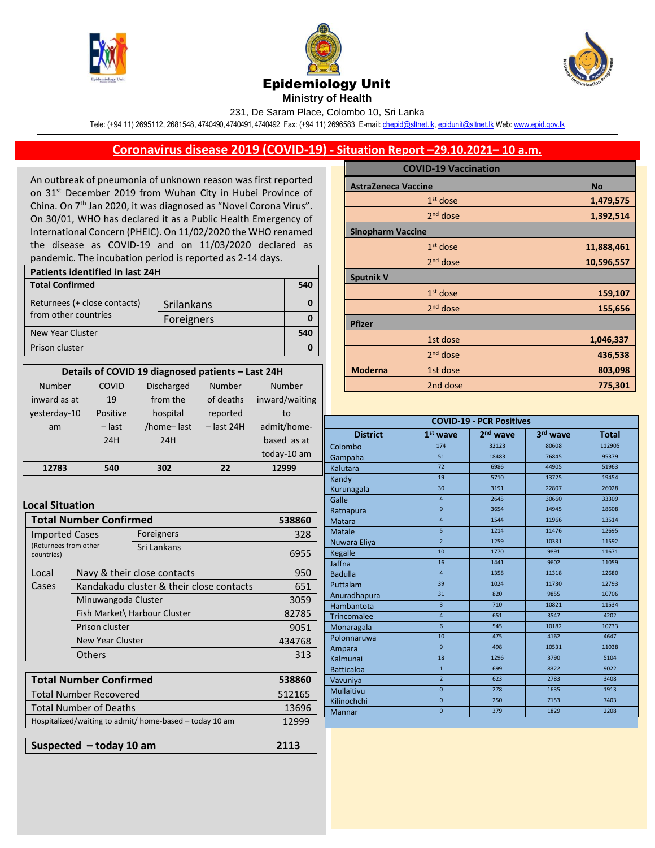





**Ministry of Health** 

231, De Saram Place, Colombo 10, Sri Lanka

Tele: (+94 11) 2695112, 2681548, 4740490, 4740491, 4740492 Fax: (+94 11) 2696583 E-mail[: chepid@sltnet.lk,](mailto:chepi@sltnet.lk) [epidunit@sltnet.lk](mailto:epidunit@sltnet.lk) Web[: www.epid.gov.lk](http://www.epid.gov.lk/)

## **Coronavirus disease 2019 (COVID-19) - Situation Report –29.10.2021– 10 a.m.**

An outbreak of pneumonia of unknown reason was first reported on 31<sup>st</sup> December 2019 from Wuhan City in Hubei Province of China. On 7<sup>th</sup> Jan 2020, it was diagnosed as "Novel Corona Virus". On 30/01, WHO has declared it as a Public Health Emergency of International Concern (PHEIC). On 11/02/2020 the WHO renamed the disease as COVID-19 and on 11/03/2020 declared as pandemic. The incubation period is reported as 2-14 days.

| Patients identified in last 24H            |  |     |  |
|--------------------------------------------|--|-----|--|
| <b>Total Confirmed</b>                     |  | 540 |  |
| Returnees (+ close contacts)<br>Srilankans |  |     |  |
| from other countries<br>Foreigners         |  |     |  |
| New Year Cluster                           |  |     |  |
| Prison cluster                             |  |     |  |

| Details of COVID 19 diagnosed patients - Last 24H |                 |            |              |                |  |
|---------------------------------------------------|-----------------|------------|--------------|----------------|--|
| Number                                            | COVID           |            | Number       | <b>Number</b>  |  |
| inward as at                                      | 19              | from the   | of deaths    | inward/waiting |  |
| yesterday-10                                      | <b>Positive</b> | hospital   | reported     | to             |  |
| am                                                | $-$ last        | /home-last | $-$ last 24H | admit/home-    |  |
|                                                   | 24H             | 24H        |              | based as at    |  |
|                                                   |                 |            |              | today-10 am    |  |
| 12783                                             | 540             | 302        | 22           | 12999          |  |

## **Local Situation**

| <b>Total Number Confirmed</b>                                                                    |             |                                          |  |  |
|--------------------------------------------------------------------------------------------------|-------------|------------------------------------------|--|--|
| <b>Imported Cases</b>                                                                            | Foreigners  | 328                                      |  |  |
| (Returnees from other                                                                            | Sri Lankans | 6955                                     |  |  |
| Navy & their close contacts                                                                      |             | 950                                      |  |  |
|                                                                                                  |             | 651                                      |  |  |
| Minuwangoda Cluster<br>Fish Market\ Harbour Cluster<br>Prison cluster<br><b>New Year Cluster</b> |             | 3059                                     |  |  |
|                                                                                                  |             | 82785                                    |  |  |
|                                                                                                  |             | 9051                                     |  |  |
|                                                                                                  |             | 434768                                   |  |  |
| <b>Others</b>                                                                                    |             | 313                                      |  |  |
|                                                                                                  |             | Kandakadu cluster & their close contacts |  |  |

| <b>Total Number Confirmed</b>                           | 538860 |
|---------------------------------------------------------|--------|
| <b>Total Number Recovered</b>                           | 512165 |
| Total Number of Deaths                                  | 13696  |
| Hospitalized/waiting to admit/ home-based – today 10 am | 12999  |
|                                                         |        |

|  | Suspected - today 10 am | 2113 |
|--|-------------------------|------|
|--|-------------------------|------|

|                            | <b>COVID-19 Vaccination</b> |            |
|----------------------------|-----------------------------|------------|
| <b>AstraZeneca Vaccine</b> |                             | <b>No</b>  |
|                            | $1st$ dose                  | 1,479,575  |
|                            | $2nd$ dose                  | 1,392,514  |
| <b>Sinopharm Vaccine</b>   |                             |            |
|                            | $1st$ dose                  | 11,888,461 |
|                            | 2 <sup>nd</sup> dose        | 10,596,557 |
| <b>Sputnik V</b>           |                             |            |
|                            | $1st$ dose                  | 159,107    |
|                            | $2nd$ dose                  | 155,656    |
| <b>Pfizer</b>              |                             |            |
|                            | 1st dose                    | 1,046,337  |
|                            | $2nd$ dose                  | 436,538    |
| <b>Moderna</b>             | 1st dose                    | 803,098    |
|                            | 2nd dose                    | 775,301    |
|                            |                             |            |

| <b>COVID-19 - PCR Positives</b> |                         |                      |                      |              |  |
|---------------------------------|-------------------------|----------------------|----------------------|--------------|--|
| <b>District</b>                 | $1st$ wave              | 2 <sup>nd</sup> wave | 3 <sup>rd</sup> wave | <b>Total</b> |  |
| Colombo                         | 174                     | 32123                | 80608                | 112905       |  |
| Gampaha                         | 51                      | 18483                | 76845                | 95379        |  |
| Kalutara                        | 72                      | 6986                 | 44905                | 51963        |  |
| Kandy                           | 19                      | 5710                 | 13725                | 19454        |  |
| Kurunagala                      | 30                      | 3191                 | 22807                | 26028        |  |
| Galle                           | $\overline{4}$          | 2645                 | 30660                | 33309        |  |
| Ratnapura                       | $\mathbf{q}$            | 3654                 | 14945                | 18608        |  |
| Matara                          | $\overline{4}$          | 1544                 | 11966                | 13514        |  |
| Matale                          | $\overline{5}$          | 1214                 | 11476                | 12695        |  |
| Nuwara Eliya                    | $\overline{2}$          | 1259                 | 10331                | 11592        |  |
| Kegalle                         | 10                      | 1770                 | 9891                 | 11671        |  |
| Jaffna                          | 16                      | 1441                 | 9602                 | 11059        |  |
| <b>Badulla</b>                  | $\overline{4}$          | 1358                 | 11318                | 12680        |  |
| Puttalam                        | 39                      | 1024                 | 11730                | 12793        |  |
| Anuradhapura                    | 31                      | 820                  | 9855                 | 10706        |  |
| Hambantota                      | $\overline{\mathbf{3}}$ | 710                  | 10821                | 11534        |  |
| Trincomalee                     | $\overline{4}$          | 651                  | 3547                 | 4202         |  |
| Monaragala                      | $6\overline{6}$         | 545                  | 10182                | 10733        |  |
| Polonnaruwa                     | 10                      | 475                  | 4162                 | 4647         |  |
| Ampara                          | $\mathbf{q}$            | 498                  | 10531                | 11038        |  |
| Kalmunai                        | $\overline{18}$         | 1296                 | 3790                 | 5104         |  |
| <b>Batticaloa</b>               | $\mathbf{1}$            | 699                  | 8322                 | 9022         |  |
| Vavuniya                        | $\overline{2}$          | 623                  | 2783                 | 3408         |  |
| Mullaitivu                      | $\overline{0}$          | 278                  | 1635                 | 1913         |  |
| Kilinochchi                     | $\Omega$                | 250                  | 7153                 | 7403         |  |
| Mannar                          | $\mathbf{0}$            | 379                  | 1829                 | 2208         |  |